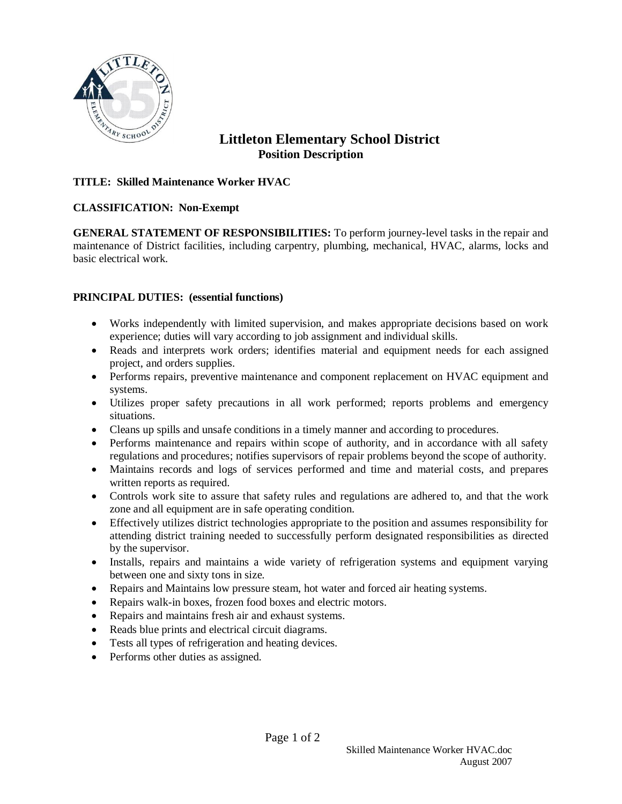

# **Littleton Elementary School District Position Description**

### **TITLE: Skilled Maintenance Worker HVAC**

### **CLASSIFICATION: Non-Exempt**

**GENERAL STATEMENT OF RESPONSIBILITIES:** To perform journey-level tasks in the repair and maintenance of District facilities, including carpentry, plumbing, mechanical, HVAC, alarms, locks and basic electrical work.

### **PRINCIPAL DUTIES: (essential functions)**

- Works independently with limited supervision, and makes appropriate decisions based on work experience; duties will vary according to job assignment and individual skills.
- Reads and interprets work orders; identifies material and equipment needs for each assigned project, and orders supplies.
- Performs repairs, preventive maintenance and component replacement on HVAC equipment and systems.
- Utilizes proper safety precautions in all work performed; reports problems and emergency situations.
- Cleans up spills and unsafe conditions in a timely manner and according to procedures.
- Performs maintenance and repairs within scope of authority, and in accordance with all safety regulations and procedures; notifies supervisors of repair problems beyond the scope of authority.
- Maintains records and logs of services performed and time and material costs, and prepares written reports as required.
- Controls work site to assure that safety rules and regulations are adhered to, and that the work zone and all equipment are in safe operating condition.
- Effectively utilizes district technologies appropriate to the position and assumes responsibility for attending district training needed to successfully perform designated responsibilities as directed by the supervisor.
- Installs, repairs and maintains a wide variety of refrigeration systems and equipment varying between one and sixty tons in size.
- Repairs and Maintains low pressure steam, hot water and forced air heating systems.
- Repairs walk-in boxes, frozen food boxes and electric motors.
- Repairs and maintains fresh air and exhaust systems.
- Reads blue prints and electrical circuit diagrams.
- Tests all types of refrigeration and heating devices.
- Performs other duties as assigned.